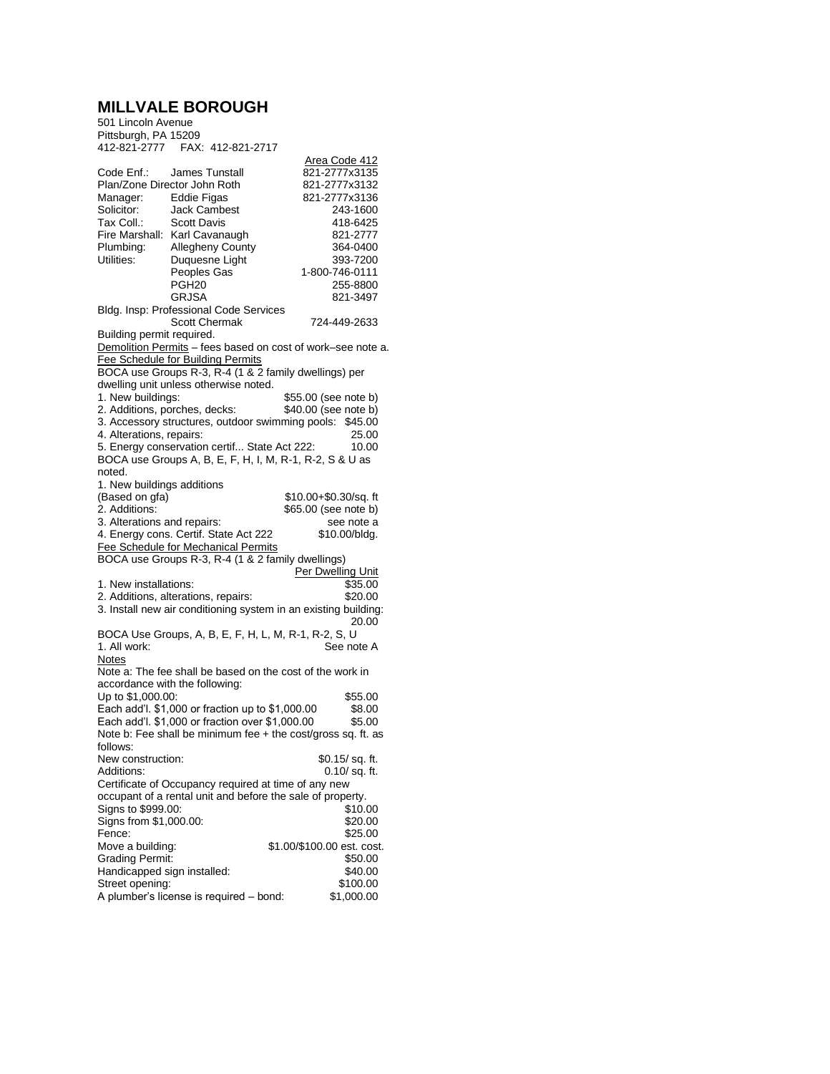## **MILLVALE BOROUGH**

501 Lincoln Avenue Pittsburgh, PA 15209 412-821-2777 FAX: 412-821-2717 Area Code 412 Code Enf.: James Tunstall 821-2777x3135<br>Plan/Zone Director John Roth 821-2777x3132 Plan/Zone Director John Roth Manager: Eddie Figas 821-2777x3136<br>Solicitor: Jack Cambest 8243-1600 Solicitor: Jack Cambest 243-1600<br>Tax Coll.: Scott Davis 2418-6425 Scott Davis Fire Marshall: Karl Cavanaugh 821-2777<br>Plumbing: Allegheny County 364-0400 Plumbing: Allegheny County 364-0400<br>
Utilities: Duquesne Light 393-7200 Duquesne Light<br>Peoples Gas Peoples Gas 1-800-746-0111 PGH20 255-8800<br>GRJSA 821-3497 821-3497 Bldg. Insp: Professional Code Services Scott Chermak 724-449-2633 Building permit required. Demolition Permits – fees based on cost of work–see note a. Fee Schedule for Building Permits BOCA use Groups R-3, R-4 (1 & 2 family dwellings) per dwelling unit unless otherwise noted.<br>1. New buildings: \$55.00 (see note b)<br>\$40.00 (see note b) 2. Additions, porches, decks: 3. Accessory structures, outdoor swimming pools: \$45.00 4. Alterations, repairs: 25.00<br>5. Energy conservation certif... State Act 222: 20.00 5. Energy conservation certif... State Act 222: BOCA use Groups A, B, E, F, H, I, M, R-1, R-2, S & U as noted. 1. New buildings additions (Based on gfa)  $$10.00+$0.30/sq.$  ft 2. Additions:  $$65.00$  (see note b) \$65.00 (see note b) 3. Alterations and repairs: see note a<br>
4. Energy cons. Certif. State Act 222 \$10.00/bldg. 4. Energy cons. Certif. State Act 222 Fee Schedule for Mechanical Permits BOCA use Groups R-3, R-4 (1 & 2 family dwellings) Per Dwelling Unit<br>\$35.00 1. New installations: 2. Additions, alterations, repairs: \$20.00 3. Install new air conditioning system in an existing building: 20.00 BOCA Use Groups, A, B, E, F, H, L, M, R-1, R-2, S, U<br>1. All work: See no See note A Notes Note a: The fee shall be based on the cost of the work in accordance with the following: Up to \$1,000.00: <br>Each add'l. \$1,000 or fraction up to \$1,000.00 \$8.00 Each add'l. \$1,000 or fraction up to \$1,000.00 \$8.00<br>Each add'l. \$1.000 or fraction over \$1.000.00 \$5.00 Each add'l.  $$1,000$  or fraction over  $$1,000.00$ Note b: Fee shall be minimum fee + the cost/gross sq. ft. as follows: New construction: \$0.15/ sq. ft.<br>Additions: 0.10/ sq. ft.  $0.10/$  sq. ft. Certificate of Occupancy required at time of any new occupant of a rental unit and before the sale of property. Signs to \$999.00: \$10.00<br>Signs from \$1,000.00: \$20,000 \$20.00 Signs from \$1,000.00:<br>Fence: Fence: \$25.00<br>Move a building: \$1.00/\$100.00 est. cost \$1.00/\$100.00 est. cost. Grading Permit: \$50.00<br>
Handicapped sign installed: \$40.00 Handicapped sign installed: Street opening: \$100.00<br>A plumber's license is required – bond: \$1,000.00 A plumber's license is required  $-$  bond: